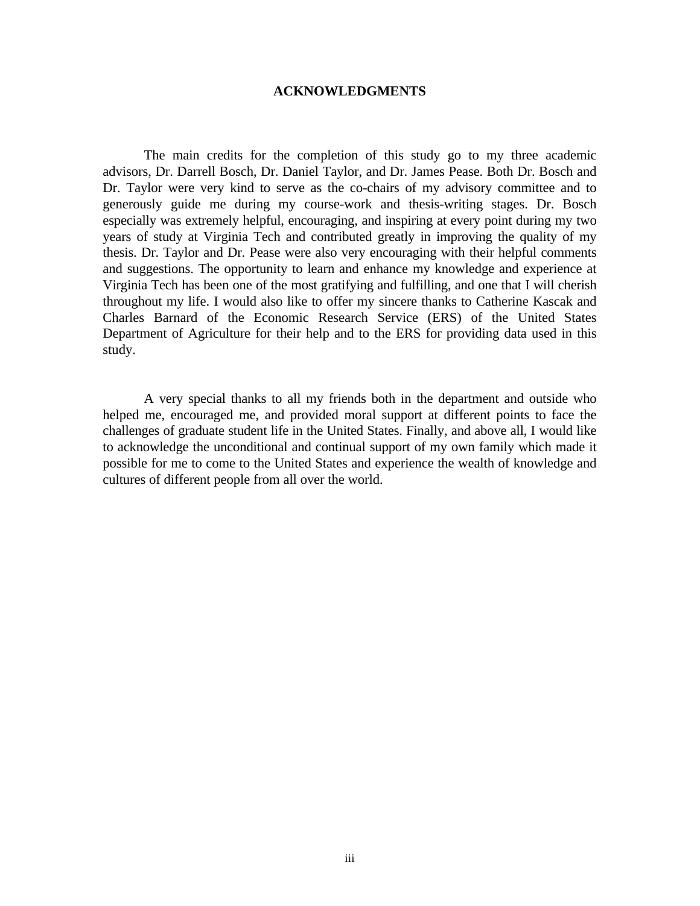## **ACKNOWLEDGMENTS**

The main credits for the completion of this study go to my three academic advisors, Dr. Darrell Bosch, Dr. Daniel Taylor, and Dr. James Pease. Both Dr. Bosch and Dr. Taylor were very kind to serve as the co-chairs of my advisory committee and to generously guide me during my course-work and thesis-writing stages. Dr. Bosch especially was extremely helpful, encouraging, and inspiring at every point during my two years of study at Virginia Tech and contributed greatly in improving the quality of my thesis. Dr. Taylor and Dr. Pease were also very encouraging with their helpful comments and suggestions. The opportunity to learn and enhance my knowledge and experience at Virginia Tech has been one of the most gratifying and fulfilling, and one that I will cherish throughout my life. I would also like to offer my sincere thanks to Catherine Kascak and Charles Barnard of the Economic Research Service (ERS) of the United States Department of Agriculture for their help and to the ERS for providing data used in this study.

A very special thanks to all my friends both in the department and outside who helped me, encouraged me, and provided moral support at different points to face the challenges of graduate student life in the United States. Finally, and above all, I would like to acknowledge the unconditional and continual support of my own family which made it possible for me to come to the United States and experience the wealth of knowledge and cultures of different people from all over the world.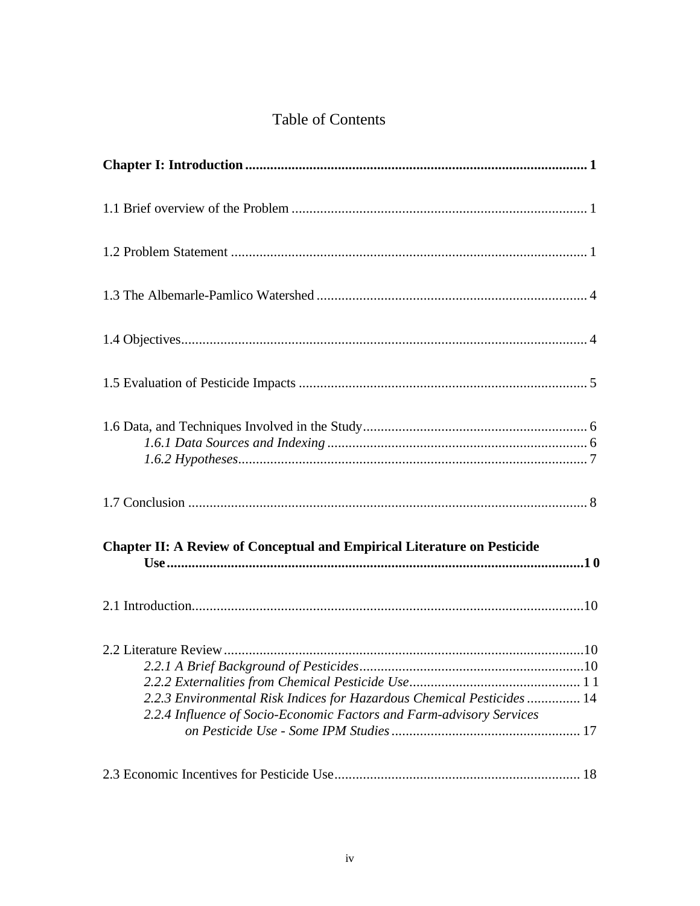## Table of Contents

| <b>Chapter II: A Review of Conceptual and Empirical Literature on Pesticide</b>                                                                |
|------------------------------------------------------------------------------------------------------------------------------------------------|
|                                                                                                                                                |
| 2.2.3 Environmental Risk Indices for Hazardous Chemical Pesticides  14<br>2.2.4 Influence of Socio-Economic Factors and Farm-advisory Services |
|                                                                                                                                                |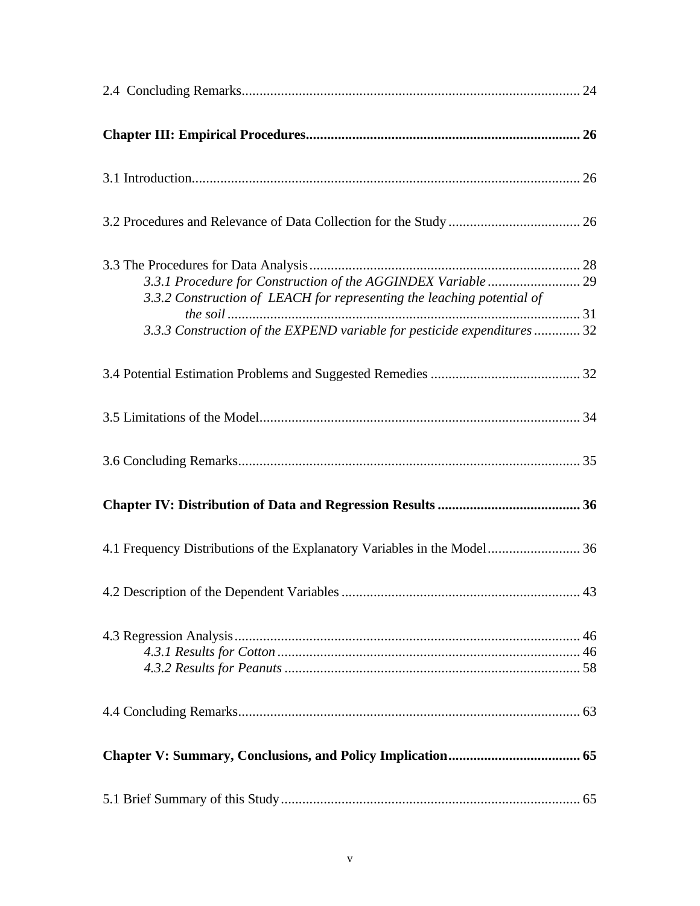| 3.3.2 Construction of LEACH for representing the leaching potential of<br>3.3.3 Construction of the EXPEND variable for pesticide expenditures  32 |
|----------------------------------------------------------------------------------------------------------------------------------------------------|
|                                                                                                                                                    |
|                                                                                                                                                    |
|                                                                                                                                                    |
|                                                                                                                                                    |
| 4.1 Frequency Distributions of the Explanatory Variables in the Model 36                                                                           |
|                                                                                                                                                    |
|                                                                                                                                                    |
|                                                                                                                                                    |
|                                                                                                                                                    |
|                                                                                                                                                    |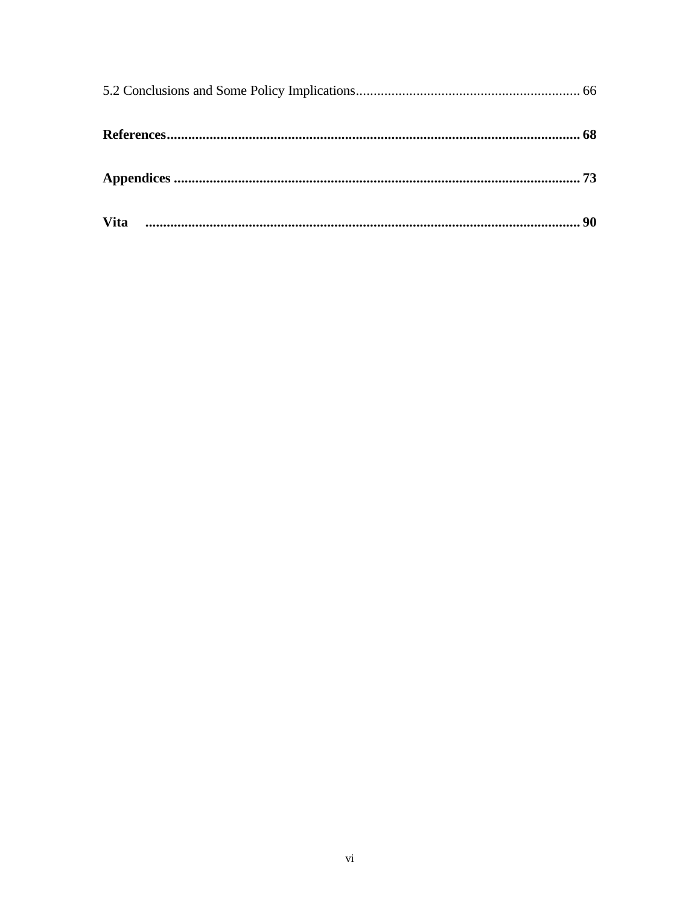| <b>Vita</b> |  |
|-------------|--|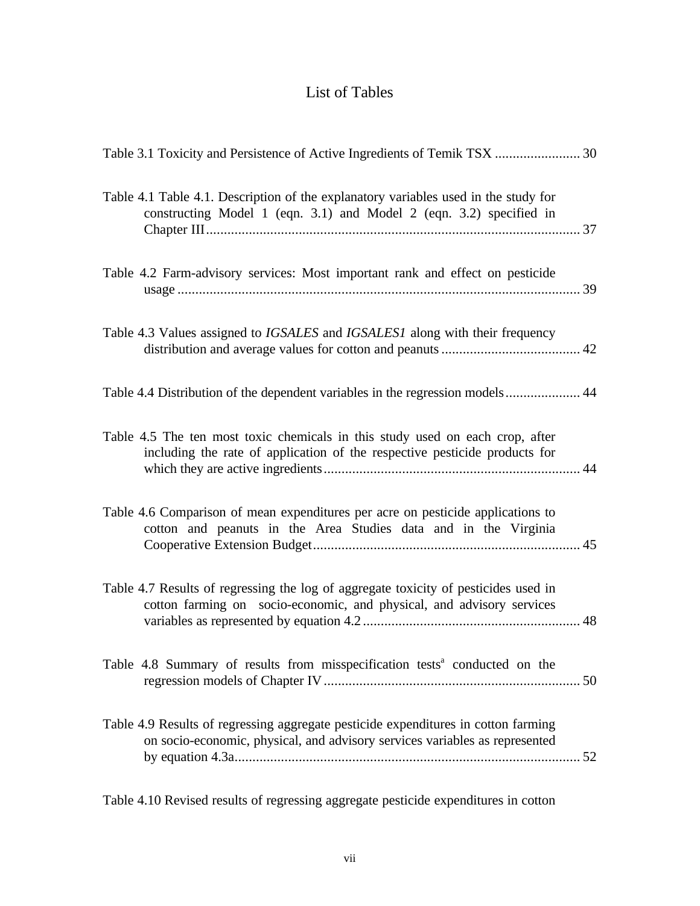## List of Tables

| Table 3.1 Toxicity and Persistence of Active Ingredients of Temik TSX  30                                                                                         |
|-------------------------------------------------------------------------------------------------------------------------------------------------------------------|
| Table 4.1 Table 4.1. Description of the explanatory variables used in the study for<br>constructing Model 1 (eqn. 3.1) and Model 2 (eqn. 3.2) specified in        |
| Table 4.2 Farm-advisory services: Most important rank and effect on pesticide                                                                                     |
| Table 4.3 Values assigned to <i>IGSALES</i> and <i>IGSALES1</i> along with their frequency                                                                        |
| Table 4.4 Distribution of the dependent variables in the regression models 44                                                                                     |
| Table 4.5 The ten most toxic chemicals in this study used on each crop, after<br>including the rate of application of the respective pesticide products for       |
| Table 4.6 Comparison of mean expenditures per acre on pesticide applications to<br>cotton and peanuts in the Area Studies data and in the Virginia                |
| Table 4.7 Results of regressing the log of aggregate toxicity of pesticides used in<br>cotton farming on socio-economic, and physical, and advisory services      |
| Table 4.8 Summary of results from misspecification tests <sup>a</sup> conducted on the                                                                            |
| Table 4.9 Results of regressing aggregate pesticide expenditures in cotton farming<br>on socio-economic, physical, and advisory services variables as represented |

Table 4.10 Revised results of regressing aggregate pesticide expenditures in cotton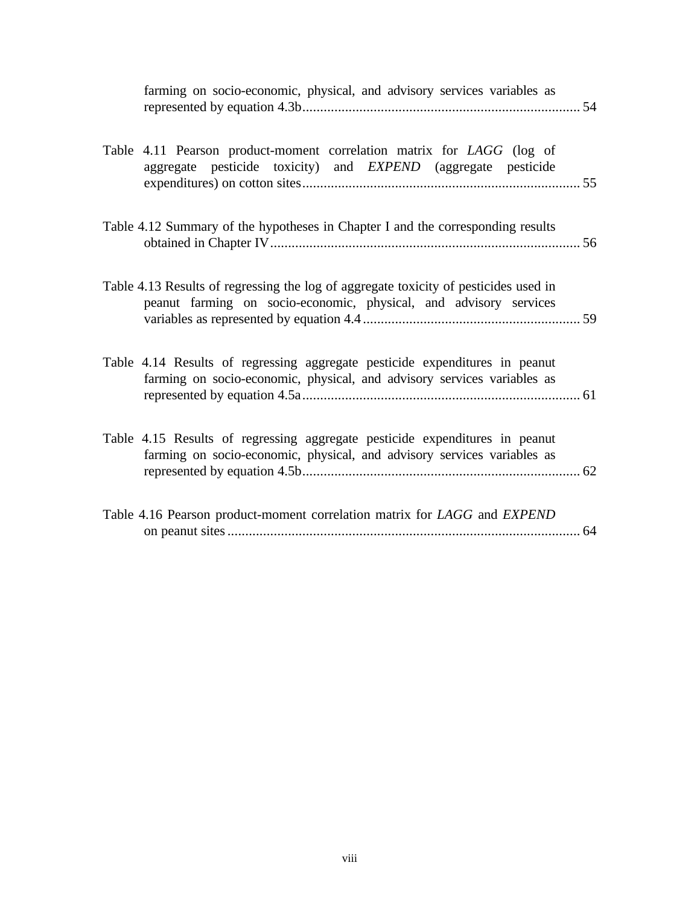| farming on socio-economic, physical, and advisory services variables as                                                                                   |  |
|-----------------------------------------------------------------------------------------------------------------------------------------------------------|--|
| Table 4.11 Pearson product-moment correlation matrix for LAGG (log of<br>aggregate pesticide toxicity) and EXPEND (aggregate pesticide                    |  |
| Table 4.12 Summary of the hypotheses in Chapter I and the corresponding results                                                                           |  |
| Table 4.13 Results of regressing the log of aggregate toxicity of pesticides used in<br>peanut farming on socio-economic, physical, and advisory services |  |
| Table 4.14 Results of regressing aggregate pesticide expenditures in peanut<br>farming on socio-economic, physical, and advisory services variables as    |  |
| Table 4.15 Results of regressing aggregate pesticide expenditures in peanut<br>farming on socio-economic, physical, and advisory services variables as    |  |
| Table 4.16 Pearson product-moment correlation matrix for LAGG and EXPEND                                                                                  |  |